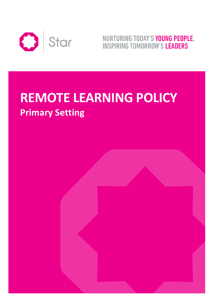

NURTURING TODAY'S YOUNG PEOPLE, **INSPIRING TOMORROW'S LEADERS** 

# **REMOTE LEARNING POLICY Primary Setting**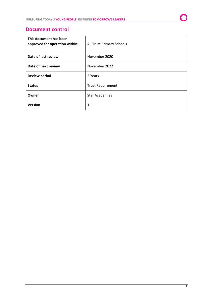

## **Document control**

| This document has been<br>approved for operation within: | All Trust Primary Schools |
|----------------------------------------------------------|---------------------------|
| Date of last review                                      | November 2020             |
| Date of next review                                      | November 2022             |
| <b>Review period</b>                                     | 2 Years                   |
| <b>Status</b>                                            | <b>Trust Requirement</b>  |
| Owner                                                    | <b>Star Academies</b>     |
| <b>Version</b>                                           | 1                         |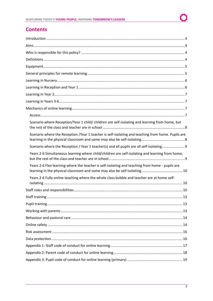# **Contents**

| Scenario where Reception/Year 1 child/ children are self-isolating and learning from home, but    |
|---------------------------------------------------------------------------------------------------|
| Scenario where the Reception /Year 1 teacher is self-isolating and teaching from home. Pupils are |
| Scenario where the Reception / Year 1 teacher(s) and all pupils are all self-isolating            |
| Years 2-6 Simultaneous learning where child/children are self-isolating and learning from home,   |
| Years 2-6 Flex learning where the teacher is self-isolating and teaching from home - pupils are   |
| Years 2-6 Fully online teaching where the whole class bubble and teacher are at home self-        |
|                                                                                                   |
|                                                                                                   |
|                                                                                                   |
|                                                                                                   |
|                                                                                                   |
|                                                                                                   |
|                                                                                                   |
|                                                                                                   |
|                                                                                                   |
|                                                                                                   |
|                                                                                                   |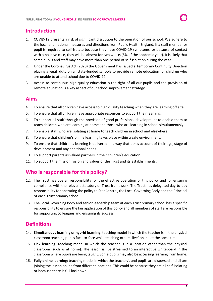# <span id="page-3-0"></span>**Introduction**

- 1. COVID-19 presents a risk of significant disruption to the operation of our school. We adhere to the local and national measures and directions from Public Health England. If a staff member or pupil is required to self-isolate because they have COVID-19 symptoms, or because of contact with a positive case, they will be absent for two weeks (5% of the academic year). It is likely that some pupils and staff may have more than one period of self-isolation during the year.
- 2. Under the Coronavirus Act (2020) the Government has issued a Temporary Continuity Direction placing a legal duty on all state-funded schools to provide remote education for children who are unable to attend school due to COVID-19.
- 3. Access to continuous high-quality education is the right of all our pupils and the provision of remote education is a key aspect of our school improvement strategy.

## <span id="page-3-1"></span>**Aims**

- 4. To ensure that all children have access to high quality teaching when they are learning off site.
- 5. To ensure that all children have appropriate resources to support their learning.
- 6. To support all staff through the provision of good professional development to enable them to teach children who are learning at home and those who are learning in school simultaneously.
- 7. To enable staff who are isolating at home to teach children in school and elsewhere.
- 8. To ensure that children's online learning takes place within a safe environment.
- 9. To ensure that children's learning is delivered in a way that takes account of their age, stage of development and any additional needs.
- 10. To support parents as valued partners in their children's education.
- 11. To support the mission, vision and values of the Trust and its establishments.

# <span id="page-3-2"></span>**Who is responsible for this policy?**

- 12. The Trust has overall responsibility for the effective operation of this policy and for ensuring compliance with the relevant statutory or Trust framework. The Trust has delegated day-to-day responsibility for operating the policy to Star Central, the Local Governing Body and the Principal of each Trust primary school.
- 13. The Local Governing Body and senior leadership team at each Trust primary school has a specific responsibility to ensure the fair application of this policy and all members of staff are responsible for supporting colleagues and ensuring its success.

# <span id="page-3-3"></span>**Definitions**

- 14. **Simultaneous learning or hybrid learning**: teaching model in which the teacher is in the physical classroom teaching pupils face-to-face while teaching others 'live' online at the same time.
- 15. **Flex learning**: teaching model in which the teacher is in a location other than the physical classroom (such as at home). The lesson is live streamed to an interactive whiteboard in the classroom where pupils are being taught. Some pupils may also be accessing learning from home.
- 16. **Fully online learning**: teaching model in which the teacher/s and pupils are dispersed and all are joining the lesson online from different locations. This could be because they are all self-isolating or because there is full lockdown.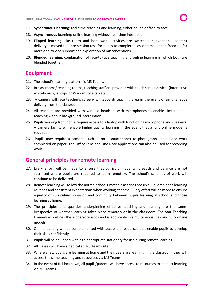- 17. **Synchronous learning**: real-time teaching and learning, either online or face-to-face.
- 18. **Asynchronous learning:** online learning without real-time interaction.
- 19. **Flipped learning**: classroom and homework activities are switched: conventional content delivery is moved to a pre-session task for pupils to complete. Lesson time is then freed up for more one-to-one support and exploration of misconceptions.
- 20. **Blended learning**: combination of face-to-face teaching and online learning in which both are blended together.

## <span id="page-4-0"></span>**Equipment**

- 21. The school's learning platform is MS Teams.
- 22. In classrooms/ teaching rooms, teaching staff are provided with touch screen devices (interactive whiteboards, laptops or Wacom style tablets).
- 23. A camera will face teacher's screen/ whiteboard/ teaching area in the event of simultaneous delivery from the classroom.
- 24. All teachers are provided with wireless headsets with microphones to enable simultaneous teaching without background interruption.
- 25. Pupils working from home require access to a laptop with functioning microphone and speakers. A camera facility will enable higher quality learning in the event that a fully online model is required.
- 26. Pupils may require a camera (such as on a smartphone) to photograph and upload work completed on paper. The Office Lens and One Note applications can also be used for recording work.

# <span id="page-4-1"></span>**General principles for remote learning**

- 27. Every effort will be made to ensure that curriculum quality, breadth and balance are not sacrificed where pupils are required to learn remotely. The school's schemes of work will continue to be delivered.
- 28. Remote learning will follow the normal school timetable as far as possible. Children need learning routines and consistent expectations when working at home. Every effort will be made to ensure equality of curriculum provision and continuity between pupils learning at school and those learning at home.
- 29. The principles and qualities underpinning effective teaching and learning are the same, irrespective of whether learning takes place remotely or in the classroom. The Star Teaching Framework defines these characteristics and is applicable in simultaneous, flex and fully online models.
- 30. Online learning will be complemented with accessible resources that enable pupils to develop their skills confidently.
- 31. Pupils will be equipped with age-appropriate stationery for use during remote learning.
- 32. All classes will have a dedicated MS Teams site.
- 33. Where a few pupils are learning at home and their peers are learning in the classroom, they will access the same teaching and resources via MS Teams.
- 34. In the event of full lockdown, all pupils/parents will have access to resources to support learning via MS Teams.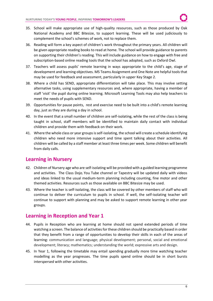- 35. School will make appropriate use of high-quality resources, such as those produced by Oak National Academy and BBC Bitesize, to support learning. These will be used judiciously to complement the school's schemes of work, not to replace them.
- 36. Reading will form a key aspect of children's work throughout the primary years. All children will be given appropriate reading books to read at home. The school will provide guidance to parents on supporting their children's reading. This will include guidance on how to engage with free and subscription-based online reading tools that the school has adopted, such as Oxford Owl.
- 37. Teachers will assess pupils' remote learning in ways appropriate to the child's age, stage of development and learning objectives. MS Teams Assignment and One Note are helpful tools that may be used for feedback and assessment, particularly in upper Key Stage 2.
- 38. Where a child has SEND, appropriate differentiation will take place. This may involve setting alternative tasks, using supplementary resources and, where appropriate, having a member of staff 'visit' the pupil during online learning. Microsoft Learning Tools may also help teachers to meet the needs of pupils with SEND.
- 39. Opportunities for pause points, rest and exercise need to be built into a child's remote learning day, just as they are during a day in school.
- 40. In the event that a small number of children are self-isolating, while the rest of the class is being taught in school, staff members will be identified to maintain daily contact with individual children and provide them with feedback on their work.
- 41. Where the whole class or year groups is self-isolating, the school will create a schedule identifying children who need more intensive support and time spent talking about their activities. All children will be called by a staff member at least three times per week. Some children will benefit from daily calls.

## <span id="page-5-0"></span>**Learning in Nursery**

- 42. Children of Nursery age who are self-isolating will be provided with a guided learning programme and activities. The Class Dojo, You Tube channel or Tapestry will be updated daily with videos and ideas linked to the usual medium-term planning including counting, fine motor and other themed activities. Resources such as those available on BBC Bitesize may be used.
- 43. Where the teacher is self-isolating, the class will be covered by other members of staff who will continue to deliver the curriculum to pupils in school. If well, the self-isolating teacher will continue to support with planning and may be asked to support remote learning in other year groups.

## <span id="page-5-1"></span>**Learning in Reception and Year 1**

- 44. Pupils in Reception who are learning at home should not spend extended periods of time watching a screen. The balance of activities for these children should be practically based in order that they benefit from a range of opportunities to develop their skills in each of the areas of learning: communication and language; physical development; personal, social and emotional development; literacy; mathematics; understanding the world; expressive arts and design.
- 45. In Year 1, following the timetable may entail spending gradually more time watching teacher modelling as the year progresses. The time pupils spend online should be in short bursts interspersed with other activities.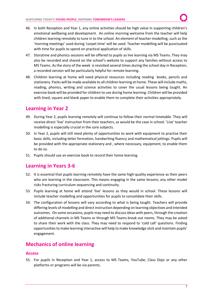- 46. In both Reception and Year 1, any online activities should be high value in supporting children's emotional wellbeing and development. An online morning welcome from the teacher will help children learning remotely to tune in to the school. An element of teacher modelling, such as the 'morning meetings' used during 'carpet time' will be used. Teacher modelling will be punctuated with time for pupils to spend on practical application of skills.
- 47. Storytime and phonics sessions will be offered to pupils as live learning via MS Teams. They may also be recorded and shared on the school's website to support any families without access to MS Teams. As the story of the week is revisited several times during the school day in Reception, a recorded version will be particularly helpful for remote learning.
- 48. Children learning at home will need physical resources including reading books, pencils and stationery. Packs will be made available to all children learning at home. These will include maths, reading, phonics, writing and science activities to cover the usual lessons being taught. An exercise book will be provided for children to use during home learning. Children will be provided with lined, square and blank paper to enable them to complete their activities appropriately.

# <span id="page-6-0"></span>**Learning in Year 2**

- 49. During Year 2, pupils learning remotely will continue to follow their normal timetable. They will receive direct 'live' instruction from their teachers, as would be the case in school. 'Live' teacher modelling is especially crucial in the core subjects.
- 50. In Year 2, pupils will still need plenty of opportunities to work with equipment to practise their basic skills, including letter formation, handwriting fluency and mathematical jottings. Pupils will be provided with the appropriate stationery and , where necessary, equipment, to enable them to do so.
- 51. Pupils should use an exercise book to record their home learning.

# <span id="page-6-1"></span>**Learning in Years 3-6**

- 52. It is essential that pupils learning remotely have the same high-quality experience as their peers who are learning in the classroom. This means engaging in the same lessons; any other model risks fracturing curriculum sequencing and continuity.
- 53. Pupils learning at home will attend 'live' lessons as they would in school. These lessons will include teacher modelling and opportunities for pupils to consolidate their skills.
- 54. The configuration of lessons will vary according to what is being taught. Teachers will provide differing levels of modelling and direct instruction depending on learning objectives and intended outcomes. On some occasions, pupils may need to discuss ideas with peers, through the creation of additional channels in MS Teams or through MS Teams break out rooms. They may be asked to share their work with the class. They may need to respond to 'cold call' questions. Finding opportunities to make learning interactive will help to make knowledge stick and maintain pupils' engagement.

# <span id="page-6-2"></span>**Mechanics of online learning**

#### <span id="page-6-3"></span>**Access**

55. For pupils in Reception and Year 1, access to MS Teams, YouTube, Class Dojo or any other platforms or programs will be via parents.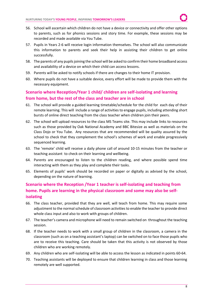- 56. School will ascertain which children do not have a device or connectivity and offer other options to parents, such as for phonics sessions and story time. For example, these sessions may be recorded and made available via You Tube.
- 57. Pupils in Years 2-6 will receive login information themselves. The school will also communicate this information to parents and seek their help in assisting their children to get online successfully.
- 58. The parents of any pupils joining the school will be asked to confirm their home broadband access and availability of a device on which their child can access lessons.
- 59. Parents will be asked to notify schools if there are changes to their home IT provision.
- 60. Where pupils do not have a suitable device, every effort will be made to provide them with the necessary equipment.

## <span id="page-7-0"></span>**Scenario where Reception/Year 1 child/ children are self-isolating and learning from home, but the rest of the class and teacher are in school**

- 61. The school will provide a guided learning timetable/schedule for the child for each day of their remote learning. This will include a range of activities to engage pupils, including attending short bursts of online direct teaching from the class teacher when children join their peers.
- 62. The school will upload resources to the class MS Teams site. This may include links to resources such as those provided by Oak National Academy and BBC Bitesize as well as materials on the Class Dojo or You Tube. Any resources that are recommended will be quality assured by the school to check that they complement the school's schemes of work and enable progressively sequenced learning.
- 63. The 'remote' child will receive a daily phone call of around 10-15 minutes from the teacher or teaching assistant to check on their learning and wellbeing.
- 64. Parents are encouraged to listen to the children reading, and where possible spend time interacting with them as they play and complete their tasks.
- 65. Elements of pupils' work should be recorded on paper or digitally as advised by the school, depending on the nature of learning.

## <span id="page-7-1"></span>**Scenario where the Reception /Year 1 teacher is self-isolating and teaching from home. Pupils are learning in the physical classroom and some may also be selfisolating**

- 66. The class teacher, provided that they are well, will teach from home. This may require some adjustment to the normal schedule of classroom activities to enable the teacher to provide direct whole class input and also to work with groups of children.
- 67. The teacher's camera and microphone will need to remain switched on throughout the teaching session.
- 68. If the teacher needs to work with a small group of children in the classroom, a camera in the classroom (such as on a teaching assistant's laptop) can be switched on to face those pupils who are to receive this teaching. Care should be taken that this activity is not observed by those children who are working remotely.
- 69. Any children who are self-isolating will be able to access the lesson as indicated in points 60-64.
- 70. Teaching assistants will be deployed to ensure that children learning in class and those learning remotely are well supported.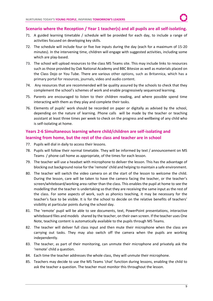### <span id="page-8-0"></span>**Scenario where the Reception / Year 1 teacher(s) and all pupils are all self-isolating.**

- 71. A guided learning timetable / schedule will be provided for each day, to include a range of activities focused on developing key skills.
- 72. The schedule will include four or five live inputs during the day (each for a maximum of 15-20 minutes). In the intervening time, children will engage with suggested activities, including some which are play-based.
- 73. The school will upload resources to the class MS Teams site. This may include links to resources such as those provided by Oak National Academy and BBC Bitesize as well as materials placed on the Class Dojo or You Tube. There are various other options, such as Britannica, which has a primary portal for resources, journals, video and audio content.
- 74. Any resources that are recommended will be quality assured by the schools to check that they complement the school's schemes of work and enable progressively sequenced learning.
- 75. Parents are encouraged to listen to their children reading, and where possible spend time interacting with them as they play and complete their tasks.
- 76. Elements of pupils' work should be recorded on paper or digitally as advised by the school, depending on the nature of learning. Phone calls will be made by the teacher or teaching assistant at least three times per week to check on the progress and wellbeing of any child who is self-isolating at home.

## <span id="page-8-1"></span>**Years 2-6 Simultaneous learning where child/children are self-isolating and learning from home, but the rest of the class and teacher are in school**

- 77. Pupils will dial in daily to access their lessons.
- 78. Pupils will follow their normal timetable. They will be informed by text / announcement on MS Teams / phone call home as appropriate, of the times for each lesson.
- 79. The teacher will use a headset with microphone to deliver the lesson. This has the advantage of blocking out background noise for the 'remote' child and helping to maintain a safe environment.
- 80. The teacher will switch the video camera on at the start of the lesson to welcome the child. During the lesson, care will be taken to have the camera facing the teacher, or the teacher's screen/whiteboard/working area rather than the class. This enables the pupil at home to see the modelling that the teacher is undertaking so that they are receiving the same input as the rest of the class. For some aspects of work, such as phonics teaching, it may be necessary for the teacher's face to be visible. It is for the school to decide on the relative benefits of teachers' visibility at particular points during the school day.
- 81. The 'remote' pupil will be able to see documents, text, PowerPoint presentations, interactive whiteboard files and models shared by the teacher, on their own screen. If the teacher uses One Note, teaching content is automatically available to the pupils through MS Teams.
- 82. The teacher will deliver full class input and then mute their microphone when the class are carrying out tasks. They may also switch off the camera when the pupils are working independently.
- 83. The teacher, as part of their monitoring, can unmute their microphone and privately ask the 'remote' child a question.
- 84. Each time the teacher addresses the whole class, they will unmute their microphone.
- 85. Teachers may decide to use the MS Teams 'chat' function during lessons, enabling the child to ask the teacher a question. The teacher must monitor this throughout the lesson.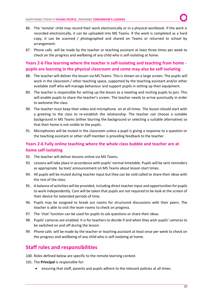- 86. The 'remote' child may record their work electronically or in a physical workbook. If the work is recorded electronically, it can be uploaded into MS Teams. If the work is completed as a hard copy, it can be scanned / photographed and shared on Teams or returned to school by arrangement.
- 87. Phone calls will be made by the teacher or teaching assistant at least three times per week to check on the progress and wellbeing of any child who is self-isolating at home.

## <span id="page-9-0"></span>**Years 2-6 Flex learning where the teacher is self-isolating and teaching from home pupils are learning in the physical classroom and some may also be self-isolating**

- 88. The teacher will deliver the lesson via MS Teams. This is shown on a large screen. The pupils will work in the classroom / other teaching space, supported by the teaching assistant and/or other available staff who will manage behaviour and support pupils in setting up their equipment.
- 89. The teacher is responsible for setting up the lesson as a meeting and inviting pupils to join. This will enable pupils to share the teacher's screen. The teacher needs to arrive punctually in order to welcome the class.
- 90. The teacher must keep their video and microphone on at all times. The lesson should start with a greeting to the class to re-establish the relationship. The teacher can choose a suitable background in MS Teams (either blurring the background or selecting a suitable alternative) so that their home is not visible to the pupils.
- 91. Microphones will be muted in the classroom unless a pupil is giving a response to a question or the teaching assistant or other staff member is providing feedback to the teacher.

## <span id="page-9-1"></span>**Years 2-6 Fully online teaching where the whole class bubble and teacher are at home self-isolating**

- 92. The teacher will deliver lessons online via MS Teams.
- 93. Lessons will take place in accordance with pupils' normal timetable. Pupils will be sent reminders as appropriate by text/ announcement on MS Teams about lesson start times.
- 94. All pupils will be muted during teacher input but they can be cold called to share their ideas with the rest of the class.
- 95. A balance of activities will be provided, including direct teacher input and opportunities for pupils to work independently. Care will be taken that pupils are not required to be look at the screen of their device for extended periods of time.
- 96. Pupils may be assigned to break out rooms for structured discussions with their peers. The teacher is able to visit the team rooms to check on progress.
- 97. The 'chat' function can be used for pupils to ask questions or share their ideas.
- 98. Pupils' cameras are enabled. It is for teachers to decide if and when they wish pupils' cameras to be switched on and off during the lesson.
- 99. Phone calls will be made by the teacher or teaching assistant at least once per week to check on the progress and wellbeing of any child who is self-isolating at home.

# <span id="page-9-2"></span>**Staff roles and responsibilities**

- 100. Roles defined below are specific to the remote learning context.
- 101. The **Principal** is responsible for:
	- ensuring that staff, parents and pupils adhere to the relevant policies at all times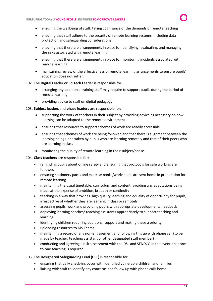- ensuring the wellbeing of staff, taking cognisance of the demands of remote teaching
- ensuring that staff adhere to the security of remote learning systems, including data protection and safeguarding considerations
- ensuring that there are arrangements in place for identifying, evaluating, and managing the risks associated with remote learning
- ensuring that there are arrangements in place for monitoring incidents associated with remote learning
- maintaining review of the effectiveness of remote learning arrangements to ensure pupils' education does not suffer.

#### 102. The **Digital Leader or Ed Tech Leader** is responsible for:

- arranging any additional training staff may require to support pupils during the period of remote learning
- providing advice to staff on digital pedagogy.
- 103. **Subject leaders** and **phase leaders** are responsible for:
	- supporting the work of teachers in their subject by providing advice as necessary on how learning can be adapted to the remote environment
	- ensuring that resources to support schemes of work are readily accessible
	- ensuring that schemes of work are being followed and that there is alignment between the learning being undertaken by pupils who are learning remotely and that of their peers who are learning in class
	- monitoring the quality of remote learning in their subject/phase.
- 104. **Class teachers** are responsible for:
	- reminding pupils about online safety and ensuring that protocols for safe working are followed
	- ensuring stationery packs and exercise books/worksheets are sent home in preparation for remote learning
	- maintaining the usual timetable, curriculum and content, avoiding any adaptations being made at the expense of ambition, breadth or continuity
	- teaching in a way that provides high quality learning and equality of opportunity for pupils, irrespective of whether they are learning in class or remotely
	- assessing pupils' work and providing pupils with appropriate developmental feedback
	- deploying learning coaches/ teaching assistants appropriately to support teaching and learning
	- identifying children requiring additional support and making these a priority
	- uploading resources to MS Teams
	- maintaining a record of any non-engagement and following this up with phone call (to be made by teacher, teaching assistant or other designated staff member)
	- conducting and agreeing a risk assessment with the DSL and SENDCO in the event that oneto-one teaching is required.

#### 105. The **Designated Safeguarding Lead (DSL)** is responsible for:

- ensuring that daily check-ins occur with identified vulnerable children and families
- liaising with staff to identify any concerns and follow up with phone calls home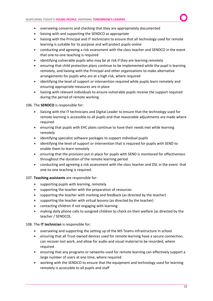- overseeing concerns and checking that they are appropriately documented
- liaising with and supporting the SENDCO as appropriate
- liaising with the Principal and IT technicians to ensure that all technology used for remote learning is suitable for its purpose and will protect pupils online
- conducting and agreeing a risk assessment with the class teacher and SENDCO in the event that one-to-one teaching is required
- identifying vulnerable pupils who may be at risk if they are learning remotely
- ensuring that child protection plans continue to be implemented while the pupil is learning remotely, and liaising with the Principal and other organisations to make alternative arrangements for pupils who are at a high risk, where required
- identifying the level of support or intervention required while pupils learn remotely and ensuring appropriate measures are in place
- liaising with relevant individuals to ensure vulnerable pupils receive the support required during the period of remote working.

#### 106. The **SENDCO** is responsible for:

- liaising with the IT technicians and Digital Leader to ensure that the technology used for remote learning is accessible to all pupils and that reasonable adjustments are made where required
- ensuring that pupils with EHC plans continue to have their needs met while learning remotely
- identifying specialist software packages to support individual pupils
- identifying the level of support or intervention that is required for pupils with SEND to enable them to learn remotely
- ensuring that the provision put in place for pupils with SEND is monitored for effectiveness throughout the duration of the remote learning period
- conducting and agreeing a risk assessment with the class teacher and DSL in the event that one-to-one teaching is required.

#### 107. **Teaching assistants** are responsible for:

- supporting pupils with learning, remotely
- supporting the teacher with the preparation of resources
- supporting the teacher with marking and feedback (as directed by the teacher)
- supporting the teacher with virtual lessons (as directed by the teacher)
- contacting children if not engaging with learning
- making daily phone calls to assigned children to check on their welfare (as directed by the teacher / SENDCO).

#### 108. The **IT technician** is responsible for:

- overseeing and supporting the setting up of the MS Teams infrastructure in school
- ensuring that all Trust-owned devices used for remote learning have a secure connection, can recover lost work, and allow for audio and visual material to be recorded, where required
- ensuring that any programs or networks used for remote learning can effectively support a large number of users at one time, where required
- working with the SENDCO to ensure that the equipment and technology used for learning remotely is accessible to all pupils and staff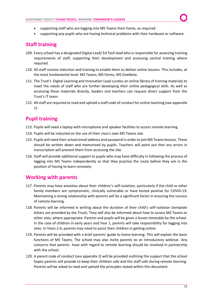- supporting staff who are logging into MS Teams from home, as required
- supporting any pupils who are having technical problems with their hardware or software.

# <span id="page-12-0"></span>**Staff training**

- 109. Every school has a designated Digital Lead/ Ed Tech lead who is responsible for assessing training requirements of staff, supporting their development and accessing central training where required.
- 110. All staff receive induction and training to enable them to deliver online lessons. This includes, at the most fundamental level: MS Teams, MS Forms, MS OneNote.
- 111. The Trust's Digital Learning and Innovation Lead curates an online library of training materials to meet the needs of staff who are further developing their online pedagogical skills. As well as accessing these materials directly, leaders and teachers can request direct support from the Trust's IT team.
- 112. All staff are required to read and uphold a staff code of conduct for online teaching (see appendix 1).

# <span id="page-12-1"></span>**Pupil training**

- 113. Pupils will need a laptop with microphone and speaker facilities to access remote learning.
- 114. Pupils will be inducted on the use of their class's own MS Teams site.
- 115. Pupils will need their school email address and password in order to join MS Teams lessons. These should be written down and memorised by pupils. Teachers will point out that any errors in transcription will prevent them from accessing the site.
- 116. Staff will provide additional support to pupils who may have difficulty in following the process of logging into MS Teams independently so that they practise the route before they are in the position of having to learn remotely.

# <span id="page-12-2"></span>**Working with parents**

- 117. Parents may have anxieties about their children's self-isolation, particularly if the child or other family members are symptomatic, clinically vulnerable or have tested positive for COVID-19. Maintaining a strong relationship with parents will be a significant factor in ensuring the success of remote learning.
- 118. Parents will be informed in writing about the duration of their child's self-isolation (template letters are provided by the Trust). They will also be informed about how to access MS Teams or other sites, where appropriate. Parents and pupils will be given a lesson timetable by the school. In the case of children in early years and Year 1, parents will take responsibility for logging into sites. In Years 2-6, parents may need to assist their children in getting online.
- 119. Parents will be provided with a brief parents' guide to home learning. This will explain the basic functions of MS Teams. The school may also invite parents to an introductory webinar. Any concerns that parents have with regard to remote learning should be resolved in partnership with the school.
- 120. A parent code of conduct (see appendix 2) will be provided outlining the support that the school hopes parents will provide to keep their children safe and the staff safe during remote learning. Parents will be asked to read and uphold the principles stated within this document.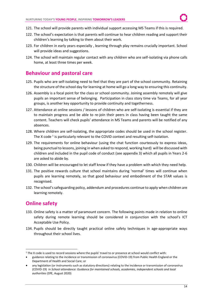- 121. The school will provide parents with individual support accessing MS Teams if this is required.
- 122. The school's expectation is that parents will continue to hear children reading and support their children's learning by talking to them about their work.
- 123. For children in early years especially , learning through play remains crucially important. School will provide ideas and suggestions.
- 124. The school will maintain regular contact with any children who are self-isolating via phone calls home, at least three times per week.

## <span id="page-13-0"></span>**Behaviour and pastoral care**

- 125. Pupils who are self-isolating need to feel that they are part of the school community. Retaining the structure of the school day for learning at home will go a long way to ensuring this continuity.
- 126. Assembly is a focal point for the class or school community. Joining assembly remotely will give pupils an important sense of belonging. Participation in class story time via Teams, for all year groups, is another key opportunity to provide continuity and togetherness.
- 127. Attendance at online sessions / lessons of children who are self-isolating is essential if they are to maintain progress and be able to re-join their peers in class having been taught the same content. Teachers will check pupils' attendance in MS Teams and parents will be notified of any absences.
- 128. Where children are self-isolating, the appropriate codes should be used in the school register. The X code  $^1$  is particularly relevant to the COVID context and resulting self-isolation.
- 129. The requirements for online behaviour (using the chat function courteously to express ideas, being punctual to lessons, joining in when asked to respond, working hard) will be discussed with children and included in the pupil code of conduct (see appendix 3) which all pupils in Years 2-6 are asked to abide by.
- 130. Children will be encouraged to let staff know if they have a problem with which they need help.
- 131. The positive rewards culture that school maintains during 'normal' times will continue when pupils are learning remotely, so that good behaviour and embodiment of the STAR values is recognised.
- 132. The school's safeguarding policy, addendum and procedures continue to apply when children are learning remotely.

# <span id="page-13-1"></span>**Online safety**

- 133. Online safety is a matter of paramount concern. The following points made in relation to online safety during remote learning should be considered in conjunction with the school's ICT Acceptable Use Policy.
- 134. Pupils should be directly taught practical online safety techniques in age-appropriate ways throughout their school lives.

<sup>&</sup>lt;sup>1</sup> The X code is used to record sessions where the pupils' travel to or presence at school would conflict with:

<sup>•</sup> guidance relating to the incidence or transmission of coronavirus (COVID-19) from Public Health England or the Department of Health and Social Care; or

<sup>•</sup> any legislation (or instruments such as statutory directions) relating to the incidence or transmission of coronavirus (COVID-19) in *School attendance: Guidance for maintained schools, academies, independent schools and local authorities* (DfE, August 2020)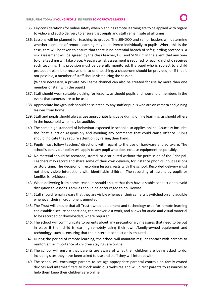- 135. Key considerations for online safety when planning remote learning are to be applied with regard to video and audio delivery to ensure that pupils and staff remain safe at all times.
- 136. Lessons will be planned for teaching to groups. The SENDCO and senior leaders will determine whether elements of remote learning may be delivered individually to pupils. Where this is the case, care will be taken to ensure that there is no potential breach of safeguarding protocols. A risk assessment will be agreed by the class teacher, DSL and SENDCO in the event that any oneto-one teaching will take place. A separate risk assessment is required for each child who receives such teaching. This provision must be carefully monitored. If a pupil who is subject to a child protection plan is to receive one-to-one teaching, a chaperone should be provided, or if that is not possible, a member of staff should visit during the session.

(Where necessary, a private MS Teams channel can also be created for use by more than one member of staff with the pupil.)

- 137. Staff should wear suitable clothing for lessons, as should pupils and household members in the event that cameras are to be used.
- 138. Appropriate backgrounds should be selected by any staff or pupils who are on camera and joining lessons from home.
- 139. Staff and pupils should always use appropriate language during online learning, as should others in the household who may be audible.
- 140. The same high standard of behaviour expected in school also applies online. Courtesy includes the 'chat' function responsibly and avoiding any comments that could cause offence. Pupils should indicate they require attention by raising their hand.
- 141. Pupils must follow teachers' directions with regard to the use of hardware and software. The school's behaviour policy will apply to any pupil who does not use equipment responsibly.
- 142. No material should be recorded, stored, or distributed without the permission of the Principal. Teachers may record and share some of their own delivery, for instance phonics input sessions or story time. The decision on recording lessons rests with the school. Recorded delivery must not show visible interactions with identifiable children. The recording of lessons by pupils or families is forbidden.
- 143. When delivering from home, teachers should ensure that they have a stable connection to avoid disruption to lessons. Families should be encouraged to do likewise.
- 144. Staff should remain aware that they are visible whenever their camera is switched on and audible whenever their microphone is unmuted.
- 145. The Trust will ensure that all Trust-owned equipment and technology used for remote learning can establish secure connections, can recover lost work, and allows for audio and visual material to be recorded or downloaded, where required.
- 146. The school will communicate to parents about any precautionary measures that need to be put in place if their child is learning remotely using their own /family-owned equipment and technology, such as ensuring that their internet connection is ensured.
- 147. During the period of remote learning, the school will maintain regular contact with parents to reinforce the importance of children staying safe online.
- 148. The school will ensure that parents are aware of what their children are being asked to do, including sites they have been asked to use and staff they will interact with.
- 149. The school will encourage parents to set age-appropriate parental controls on family-owned devices and internet filters to block malicious websites and will direct parents to resources to help them keep their children safe online.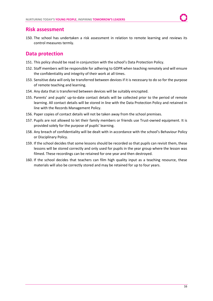## <span id="page-15-0"></span>**Risk assessment**

150. The school has undertaken a risk assessment in relation to remote learning and reviews its control measures termly.

## <span id="page-15-1"></span>**Data protection**

- 151. This policy should be read in conjunction with the school's Data Protection Policy.
- 152. Staff members will be responsible for adhering to GDPR when teaching remotely and will ensure the confidentiality and integrity of their work at all times.
- 153. Sensitive data will only be transferred between devices if it is necessary to do so for the purpose of remote teaching and learning.
- 154. Any data that is transferred between devices will be suitably encrypted.
- 155. Parents' and pupils' up-to-date contact details will be collected prior to the period of remote learning. All contact details will be stored in line with the Data Protection Policy and retained in line with the Records Management Policy.
- 156. Paper copies of contact details will not be taken away from the school premises.
- 157. Pupils are not allowed to let their family members or friends use Trust-owned equipment. It is provided solely for the purpose of pupils' learning.
- 158. Any breach of confidentiality will be dealt with in accordance with the school's Behaviour Policy or Disciplinary Policy.
- 159. If the school decides that some lessons should be recorded so that pupils can revisit them, these lessons will be stored correctly and only used for pupils in the year group where the lesson was filmed. These recordings can be retained for one year and then destroyed.
- 160. If the school decides that teachers can film high quality input as a teaching resource, these materials will also be correctly stored and may be retained for up to four years.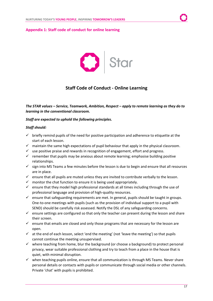#### <span id="page-16-0"></span>**Appendix 1: Staff code of conduct for online learning**



## **Staff Code of Conduct - Online Learning**

*The STAR values – Service, Teamwork, Ambition, Respect – apply to remote learning as they do to learning in the conventional classroom.*

#### *Staff are expected to uphold the following principles.*

#### *Staff should:*

- $\checkmark$  briefly remind pupils of the need for positive participation and adherence to etiquette at the start of each lesson.
- $\checkmark$  maintain the same high expectations of pupil behaviour that apply in the physical classroom.
- $\checkmark$  use positive praise and rewards in recognition of engagement, effort and progress.
- $\checkmark$  remember that pupils may be anxious about remote learning; emphasise building positive relationships.
- $\checkmark$  sign into MS Teams a few minutes before the lesson is due to begin and ensure that all resources are in place.
- $\checkmark$  ensure that all pupils are muted unless they are invited to contribute verbally to the lesson.
- $\checkmark$  monitor the chat function to ensure it is being used appropriately.
- $\checkmark$  ensure that they model high professional standards at all times including through the use of professional language and provision of high-quality resources.
- $\checkmark$  ensure that safeguarding requirements are met. In general, pupils should be taught in groups. One-to-one meetings with pupils (such as the provision of individual support to a pupil with SEND) should be carefully risk assessed. Notify the DSL of any safeguarding concerns.
- $\checkmark$  ensure settings are configured so that only the teacher can present during the lesson and share their screen.
- $\checkmark$  ensure that emails are closed and only those programs that are necessary for the lesson are open.
- $\checkmark$  at the end of each lesson, select 'end the meeting' (not 'leave the meeting') so that pupils cannot continue the meeting unsupervised.
- $\checkmark$  where teaching from home, blur the background (or choose a background) to protect personal privacy, wear suitable professional clothing and try to teach from a place in the house that is quiet, with minimal disruption.
- $\checkmark$  when teaching pupils online, ensure that all communication is through MS Teams. Never share personal details or contacts with pupils or communicate through social media or other channels. Private 'chat' with pupils is prohibited.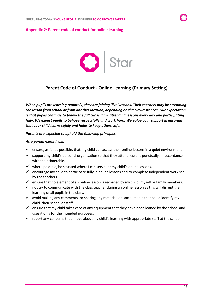#### <span id="page-17-0"></span>**Appendix 2: Parent code of conduct for online learning**



## **Parent Code of Conduct - Online Learning (Primary Setting)**

*When pupils are learning remotely, they are joining 'live' lessons. Their teachers may be streaming the lesson from school or from another location, depending on the circumstances. Our expectation is that pupils continue to follow the full curriculum, attending lessons every day and participating fully. We expect pupils to behave respectfully and work hard. We value your support in ensuring that your child learns safely and helps to keep others safe.* 

#### *Parents are expected to uphold the following principles.*

#### *As a parent/carer I will:*

- $\checkmark$  ensure, as far as possible, that my child can access their online lessons in a quiet environment.
- $\checkmark$  support my child's personal organisation so that they attend lessons punctually, in accordance with their timetable.
- $\checkmark$  where possible, be situated where I can see/hear my child's online lessons.
- $\checkmark$  encourage my child to participate fully in online lessons and to complete independent work set by the teachers.
- $\checkmark$  ensure that no element of an online lesson is recorded by my child, myself or family members.
- $\checkmark$  not try to communicate with the class teacher during an online lesson as this will disrupt the learning of all pupils in the class.
- $\checkmark$  avoid making any comments, or sharing any material, on social media that could identify my child, their school or staff.
- $\checkmark$  ensure that my child takes care of any equipment that they have been loaned by the school and uses it only for the intended purposes.
- $\checkmark$  report any concerns that I have about my child's learning with appropriate staff at the school.